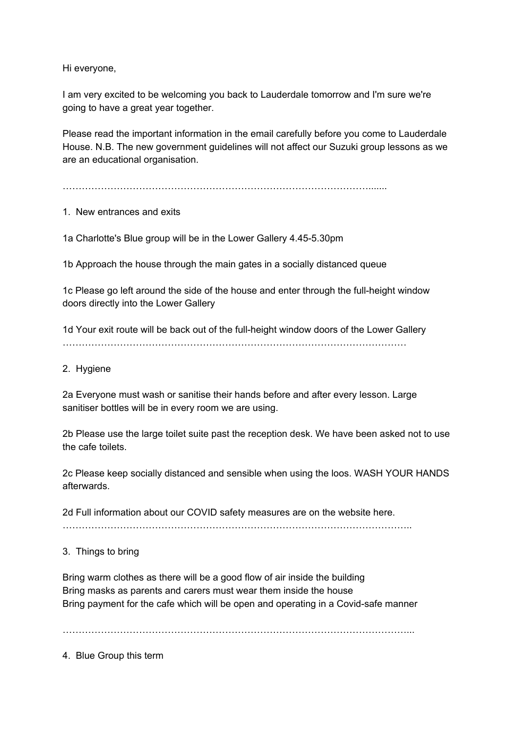Hi everyone,

I am very excited to be welcoming you back to Lauderdale tomorrow and I'm sure we're going to have a great year together.

Please read the important information in the email carefully before you come to Lauderdale House. N.B. The new government guidelines will not affect our Suzuki group lessons as we are an educational organisation.

…………………………………………………………………………………….......

1. New entrances and exits

1a Charlotte's Blue group will be in the Lower Gallery 4.45-5.30pm

1b Approach the house through the main gates in a socially distanced queue

1c Please go left around the side of the house and enter through the full-height window doors directly into the Lower Gallery

1d Your exit route will be back out of the full-height window doors of the Lower Gallery ………………………………………………………………………………………………

## 2. Hygiene

2a Everyone must wash or sanitise their hands before and after every lesson. Large sanitiser bottles will be in every room we are using.

2b Please use the large toilet suite past the reception desk. We have been asked not to use the cafe toilets.

2c Please keep socially distanced and sensible when using the loos. WASH YOUR HANDS afterwards.

2d Full information about our COVID safety measures are on the website here.

………………………………………………………………………………………………..

3. Things to bring

Bring warm clothes as there will be a good flow of air inside the building Bring masks as parents and carers must wear them inside the house Bring payment for the cafe which will be open and operating in a Covid-safe manner

………………………………………………………………………………………………...

4. Blue Group this term